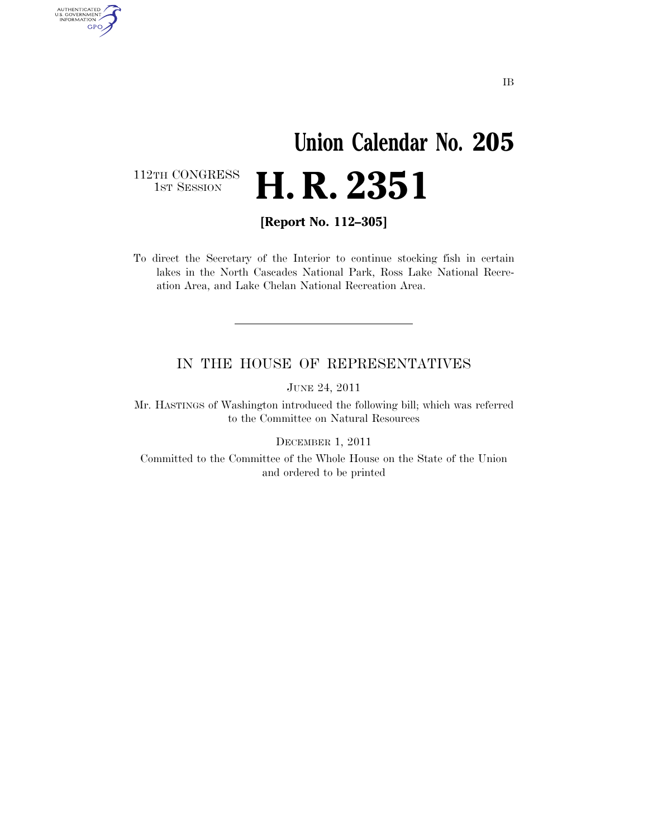# **Union Calendar No. 205 H. R. 2351**

112TH CONGRESS<br>1st Session

AUTHENTICATED<br>U.S. GOVERNMENT<br>INFORMATION GPO

**[Report No. 112–305]** 

To direct the Secretary of the Interior to continue stocking fish in certain lakes in the North Cascades National Park, Ross Lake National Recreation Area, and Lake Chelan National Recreation Area.

### IN THE HOUSE OF REPRESENTATIVES

JUNE 24, 2011

Mr. HASTINGS of Washington introduced the following bill; which was referred to the Committee on Natural Resources

DECEMBER 1, 2011

Committed to the Committee of the Whole House on the State of the Union and ordered to be printed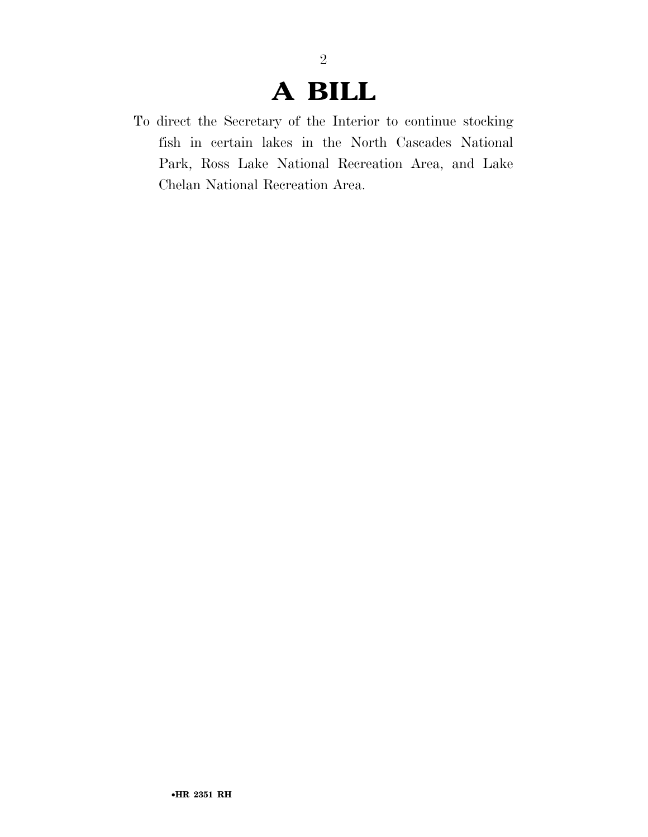## **A BILL**

2

To direct the Secretary of the Interior to continue stocking fish in certain lakes in the North Cascades National Park, Ross Lake National Recreation Area, and Lake Chelan National Recreation Area.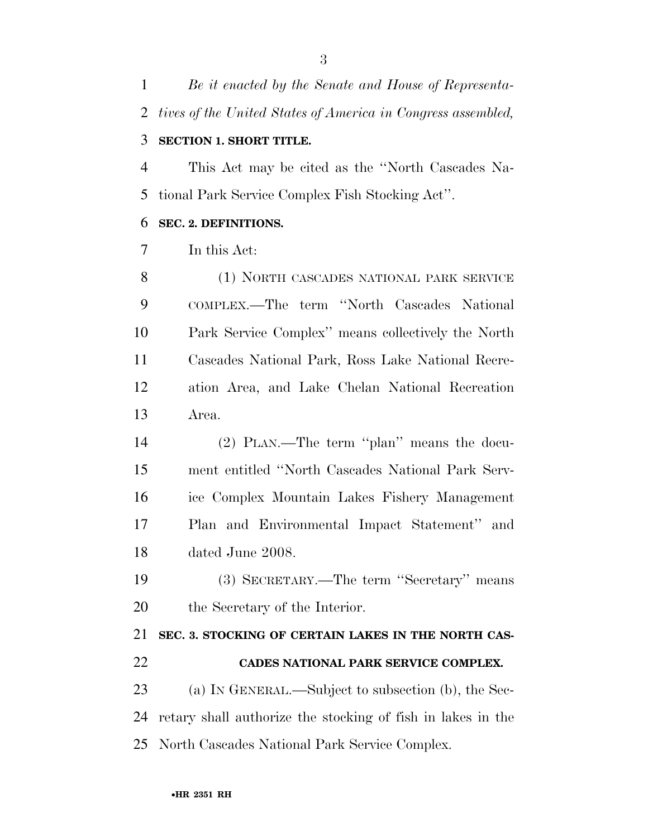*Be it enacted by the Senate and House of Representa- tives of the United States of America in Congress assembled,*  **SECTION 1. SHORT TITLE.** 

 This Act may be cited as the ''North Cascades Na-tional Park Service Complex Fish Stocking Act''.

#### **SEC. 2. DEFINITIONS.**

In this Act:

8 (1) NORTH CASCADES NATIONAL PARK SERVICE COMPLEX.—The term ''North Cascades National Park Service Complex'' means collectively the North Cascades National Park, Ross Lake National Recre- ation Area, and Lake Chelan National Recreation Area.

 (2) PLAN.—The term ''plan'' means the docu- ment entitled ''North Cascades National Park Serv- ice Complex Mountain Lakes Fishery Management Plan and Environmental Impact Statement'' and dated June 2008.

 (3) SECRETARY.—The term ''Secretary'' means the Secretary of the Interior.

 **SEC. 3. STOCKING OF CERTAIN LAKES IN THE NORTH CAS- CADES NATIONAL PARK SERVICE COMPLEX.**  (a) IN GENERAL.—Subject to subsection (b), the Sec-retary shall authorize the stocking of fish in lakes in the

North Cascades National Park Service Complex.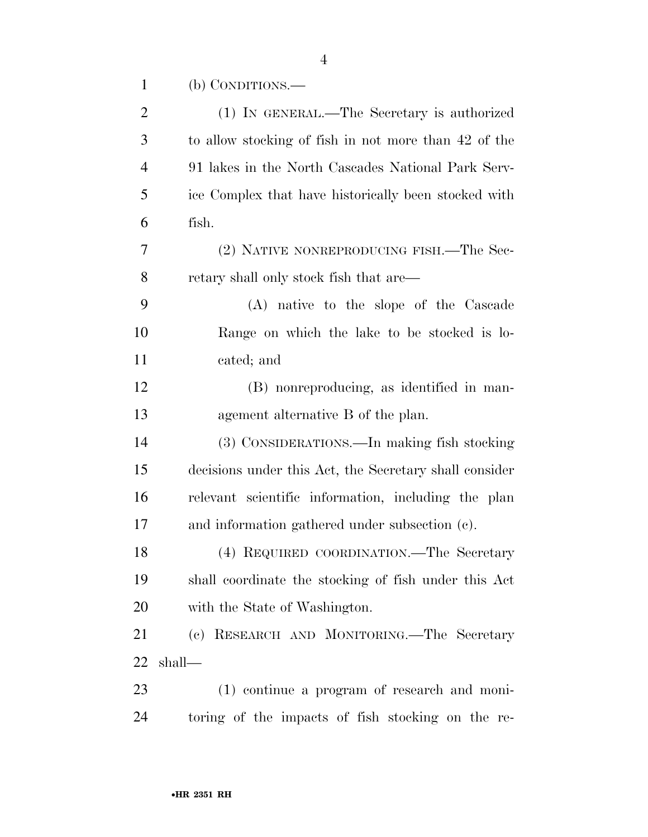|  | (b) CONDITIONS.— |  |
|--|------------------|--|
|--|------------------|--|

| $\overline{c}$ | (1) IN GENERAL.—The Secretary is authorized            |
|----------------|--------------------------------------------------------|
| 3              | to allow stocking of fish in not more than 42 of the   |
| $\overline{4}$ | 91 lakes in the North Cascades National Park Serv-     |
| 5              | ice Complex that have historically been stocked with   |
| 6              | fish.                                                  |
| 7              | (2) NATIVE NONREPRODUCING FISH.—The Sec-               |
| 8              | retary shall only stock fish that are—                 |
| 9              | (A) native to the slope of the Cascade                 |
| 10             | Range on which the lake to be stocked is lo-           |
| 11             | cated; and                                             |
| 12             | (B) nonreproducing, as identified in man-              |
| 13             | agement alternative B of the plan.                     |
| 14             | (3) CONSIDERATIONS.—In making fish stocking            |
| 15             | decisions under this Act, the Secretary shall consider |
| 16             | relevant scientific information, including the plan    |
| 17             | and information gathered under subsection (c).         |
| 18             | (4) REQUIRED COORDINATION.—The Secretary               |
| 19             | shall coordinate the stocking of fish under this Act   |
| 20             | with the State of Washington.                          |
| 21             | (c) RESEARCH AND MONITORING.—The Secretary             |
| 22             | shall-                                                 |
| 23             | (1) continue a program of research and moni-           |
| 24             | toring of the impacts of fish stocking on the re-      |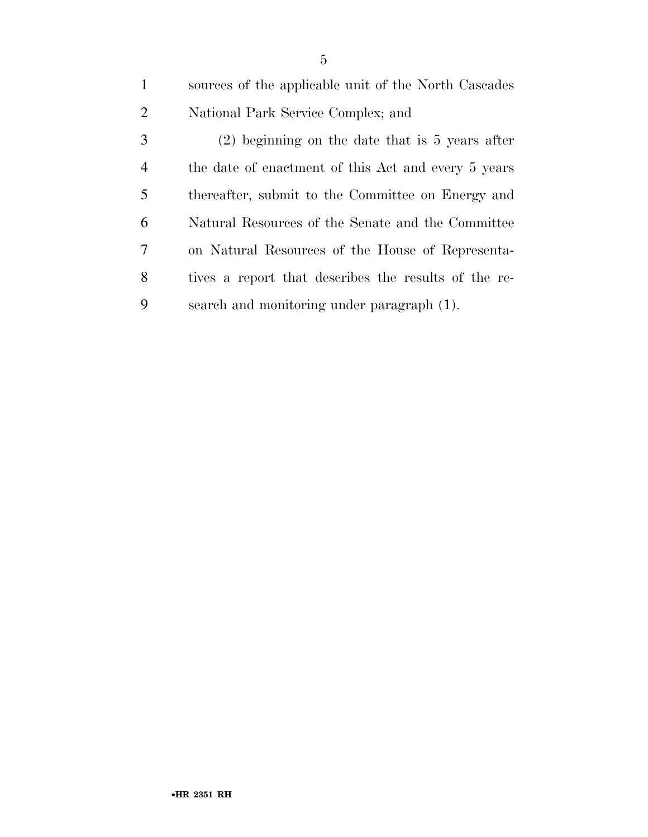sources of the applicable unit of the North Cascades National Park Service Complex; and (2) beginning on the date that is 5 years after the date of enactment of this Act and every 5 years thereafter, submit to the Committee on Energy and Natural Resources of the Senate and the Committee on Natural Resources of the House of Representa- tives a report that describes the results of the re-search and monitoring under paragraph (1).

•**HR 2351 RH**